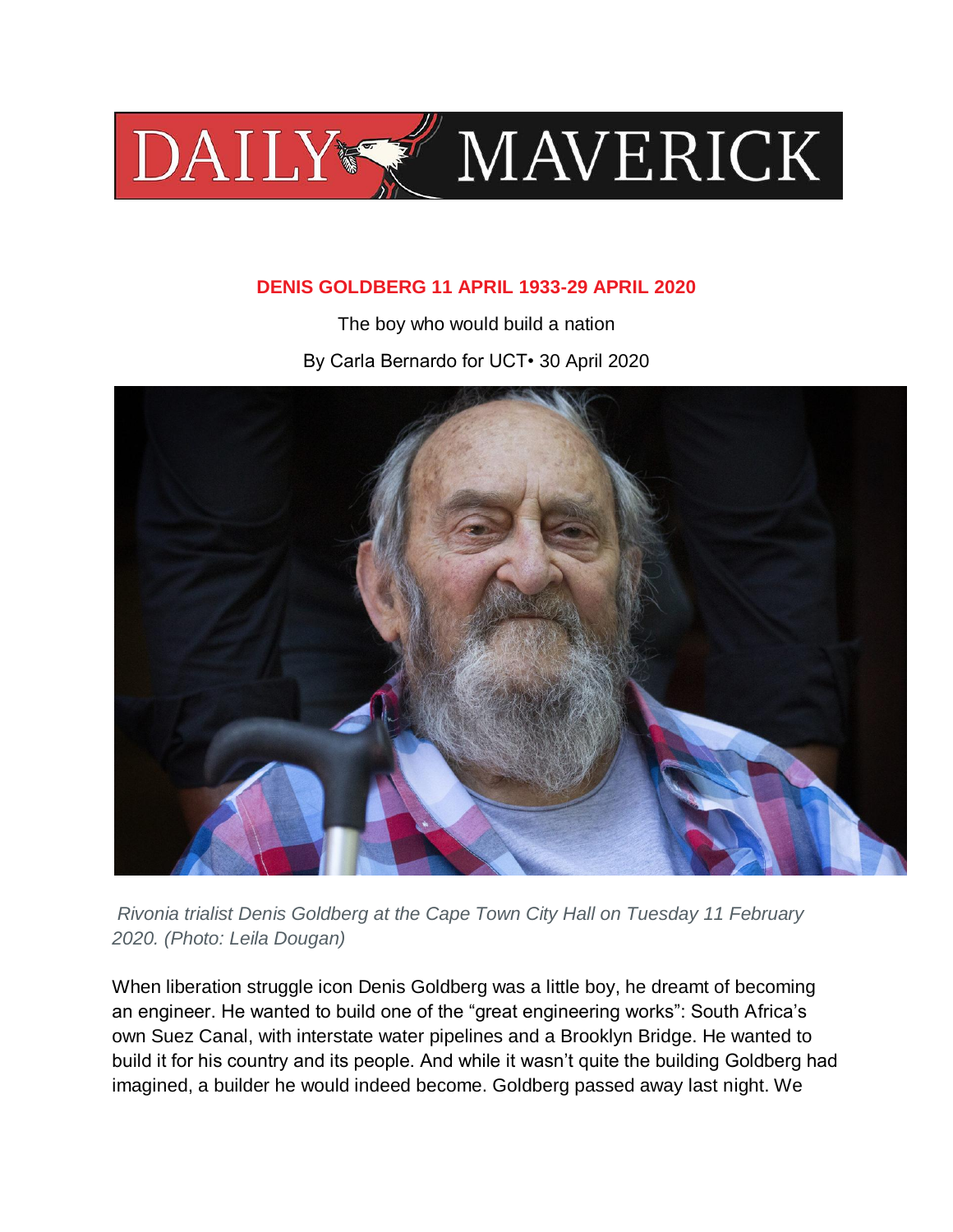

# **DENIS GOLDBERG 11 APRIL 1933-29 APRIL 2020**

The boy who would build a nation By Carla Bernardo for UCT• 30 April 2020



*Rivonia trialist Denis Goldberg at the Cape Town City Hall on Tuesday 11 February 2020. (Photo: Leila Dougan)*

When liberation struggle icon Denis Goldberg was a little boy, he dreamt of becoming an engineer. He wanted to build one of the "great engineering works": South Africa's own Suez Canal, with interstate water pipelines and a Brooklyn Bridge. He wanted to build it for his country and its people. And while it wasn't quite the building Goldberg had imagined, a builder he would indeed become. Goldberg passed away last night. We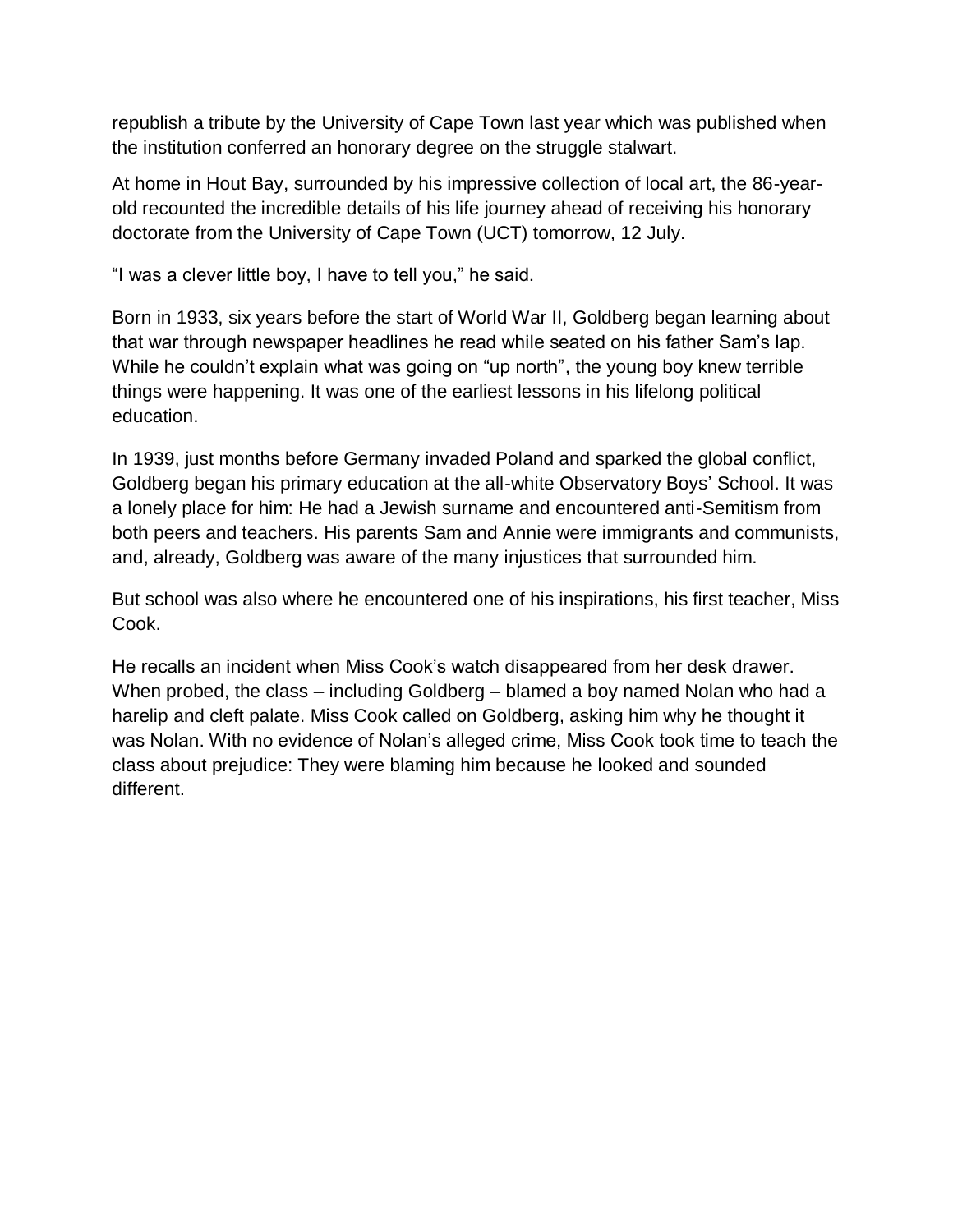republish a tribute by the University of Cape Town last year which was published when the institution conferred an honorary degree on the struggle stalwart.

At home in Hout Bay, surrounded by his impressive collection of local art, the 86-yearold recounted the incredible details of his life journey ahead of receiving his honorary doctorate from the University of Cape Town (UCT) tomorrow, 12 July.

"I was a clever little boy, I have to tell you," he said.

Born in 1933, six years before the start of World War II, Goldberg began learning about that war through newspaper headlines he read while seated on his father Sam's lap. While he couldn't explain what was going on "up north", the young boy knew terrible things were happening. It was one of the earliest lessons in his lifelong political education.

In 1939, just months before Germany invaded Poland and sparked the global conflict, Goldberg began his primary education at the all-white Observatory Boys' School. It was a lonely place for him: He had a Jewish surname and encountered anti-Semitism from both peers and teachers. His parents Sam and Annie were immigrants and communists, and, already, Goldberg was aware of the many injustices that surrounded him.

But school was also where he encountered one of his inspirations, his first teacher, Miss Cook.

He recalls an incident when Miss Cook's watch disappeared from her desk drawer. When probed, the class – including Goldberg – blamed a boy named Nolan who had a harelip and cleft palate. Miss Cook called on Goldberg, asking him why he thought it was Nolan. With no evidence of Nolan's alleged crime, Miss Cook took time to teach the class about prejudice: They were blaming him because he looked and sounded different.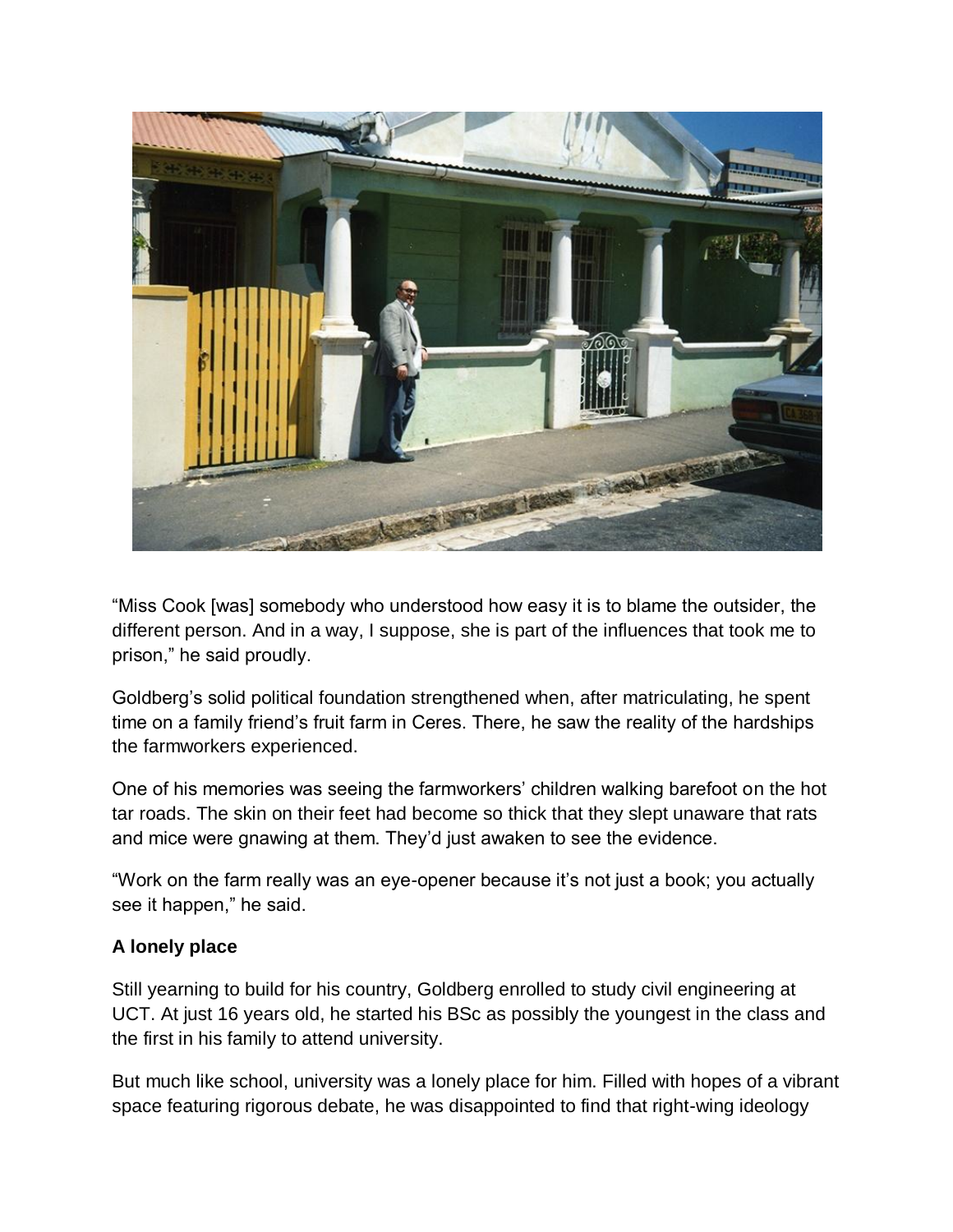

"Miss Cook [was] somebody who understood how easy it is to blame the outsider, the different person. And in a way, I suppose, she is part of the influences that took me to prison," he said proudly.

Goldberg's solid political foundation strengthened when, after matriculating, he spent time on a family friend's fruit farm in Ceres. There, he saw the reality of the hardships the farmworkers experienced.

One of his memories was seeing the farmworkers' children walking barefoot on the hot tar roads. The skin on their feet had become so thick that they slept unaware that rats and mice were gnawing at them. They'd just awaken to see the evidence.

"Work on the farm really was an eye-opener because it's not just a book; you actually see it happen," he said.

## **A lonely place**

Still yearning to build for his country, Goldberg enrolled to study civil engineering at UCT. At just 16 years old, he started his BSc as possibly the youngest in the class and the first in his family to attend university.

But much like school, university was a lonely place for him. Filled with hopes of a vibrant space featuring rigorous debate, he was disappointed to find that right-wing ideology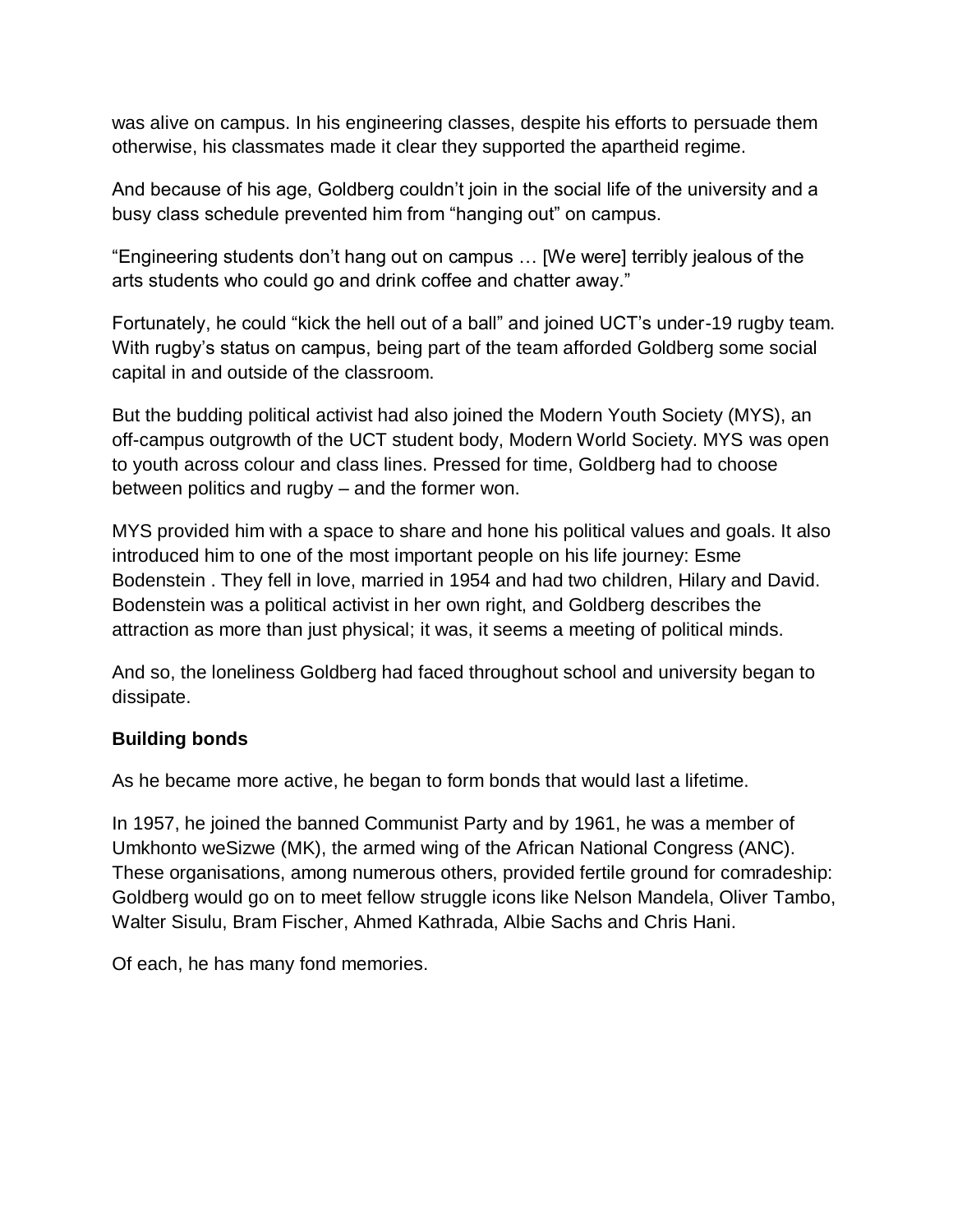was alive on campus. In his engineering classes, despite his efforts to persuade them otherwise, his classmates made it clear they supported the apartheid regime.

And because of his age, Goldberg couldn't join in the social life of the university and a busy class schedule prevented him from "hanging out" on campus.

"Engineering students don't hang out on campus … [We were] terribly jealous of the arts students who could go and drink coffee and chatter away."

Fortunately, he could "kick the hell out of a ball" and joined UCT's under-19 rugby team. With rugby's status on campus, being part of the team afforded Goldberg some social capital in and outside of the classroom.

But the budding political activist had also joined the Modern Youth Society (MYS), an off-campus outgrowth of the UCT student body, Modern World Society. MYS was open to youth across colour and class lines. Pressed for time, Goldberg had to choose between politics and rugby – and the former won.

MYS provided him with a space to share and hone his political values and goals. It also introduced him to one of the most important people on his life journey: Esme Bodenstein . They fell in love, married in 1954 and had two children, Hilary and David. Bodenstein was a political activist in her own right, and Goldberg describes the attraction as more than just physical; it was, it seems a meeting of political minds.

And so, the loneliness Goldberg had faced throughout school and university began to dissipate.

## **Building bonds**

As he became more active, he began to form bonds that would last a lifetime.

In 1957, he joined the banned Communist Party and by 1961, he was a member of Umkhonto weSizwe (MK), the armed wing of the African National Congress (ANC). These organisations, among numerous others, provided fertile ground for comradeship: Goldberg would go on to meet fellow struggle icons like Nelson Mandela, Oliver Tambo, Walter Sisulu, Bram Fischer, Ahmed Kathrada, Albie Sachs and Chris Hani.

Of each, he has many fond memories.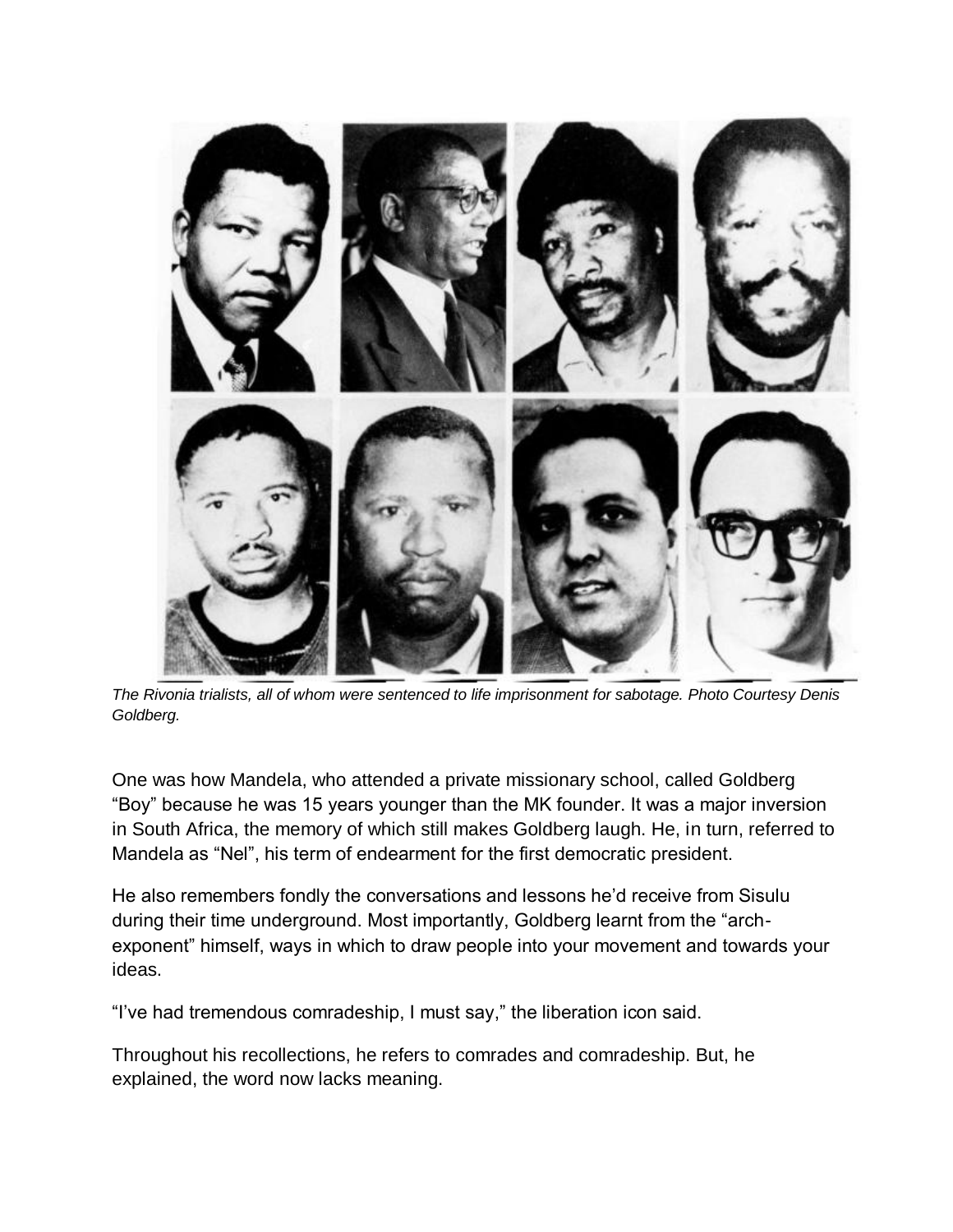

*The Rivonia trialists, all of whom were sentenced to life imprisonment for sabotage. Photo Courtesy Denis Goldberg.*

One was how Mandela, who attended a private missionary school, called Goldberg "Boy" because he was 15 years younger than the MK founder. It was a major inversion in South Africa, the memory of which still makes Goldberg laugh. He, in turn, referred to Mandela as "Nel", his term of endearment for the first democratic president.

He also remembers fondly the conversations and lessons he'd receive from Sisulu during their time underground. Most importantly, Goldberg learnt from the "archexponent" himself, ways in which to draw people into your movement and towards your ideas.

"I've had tremendous comradeship, I must say," the liberation icon said.

Throughout his recollections, he refers to comrades and comradeship. But, he explained, the word now lacks meaning.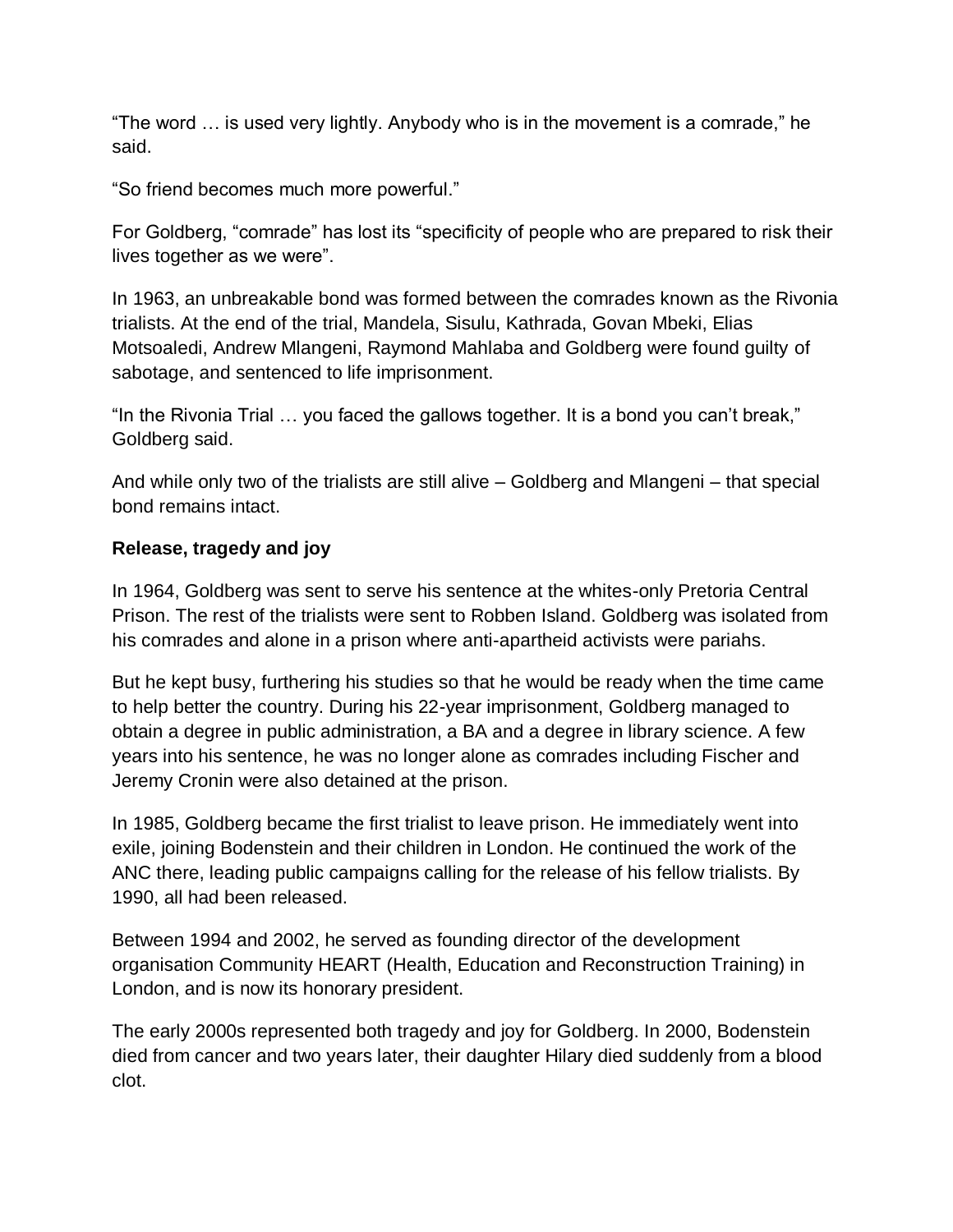"The word … is used very lightly. Anybody who is in the movement is a comrade," he said.

"So friend becomes much more powerful."

For Goldberg, "comrade" has lost its "specificity of people who are prepared to risk their lives together as we were".

In 1963, an unbreakable bond was formed between the comrades known as the Rivonia trialists. At the end of the trial, Mandela, Sisulu, Kathrada, Govan Mbeki, Elias Motsoaledi, Andrew Mlangeni, Raymond Mahlaba and Goldberg were found guilty of sabotage, and sentenced to life imprisonment.

"In the Rivonia Trial … you faced the gallows together. It is a bond you can't break," Goldberg said.

And while only two of the trialists are still alive – Goldberg and Mlangeni – that special bond remains intact.

# **Release, tragedy and joy**

In 1964, Goldberg was sent to serve his sentence at the whites-only Pretoria Central Prison. The rest of the trialists were sent to Robben Island. Goldberg was isolated from his comrades and alone in a prison where anti-apartheid activists were pariahs.

But he kept busy, furthering his studies so that he would be ready when the time came to help better the country. During his 22-year imprisonment, Goldberg managed to obtain a degree in public administration, a BA and a degree in library science. A few years into his sentence, he was no longer alone as comrades including Fischer and Jeremy Cronin were also detained at the prison.

In 1985, Goldberg became the first trialist to leave prison. He immediately went into exile, joining Bodenstein and their children in London. He continued the work of the ANC there, leading public campaigns calling for the release of his fellow trialists. By 1990, all had been released.

Between 1994 and 2002, he served as founding director of the development organisation Community HEART (Health, Education and Reconstruction Training) in London, and is now its honorary president.

The early 2000s represented both tragedy and joy for Goldberg. In 2000, Bodenstein died from cancer and two years later, their daughter Hilary died suddenly from a blood clot.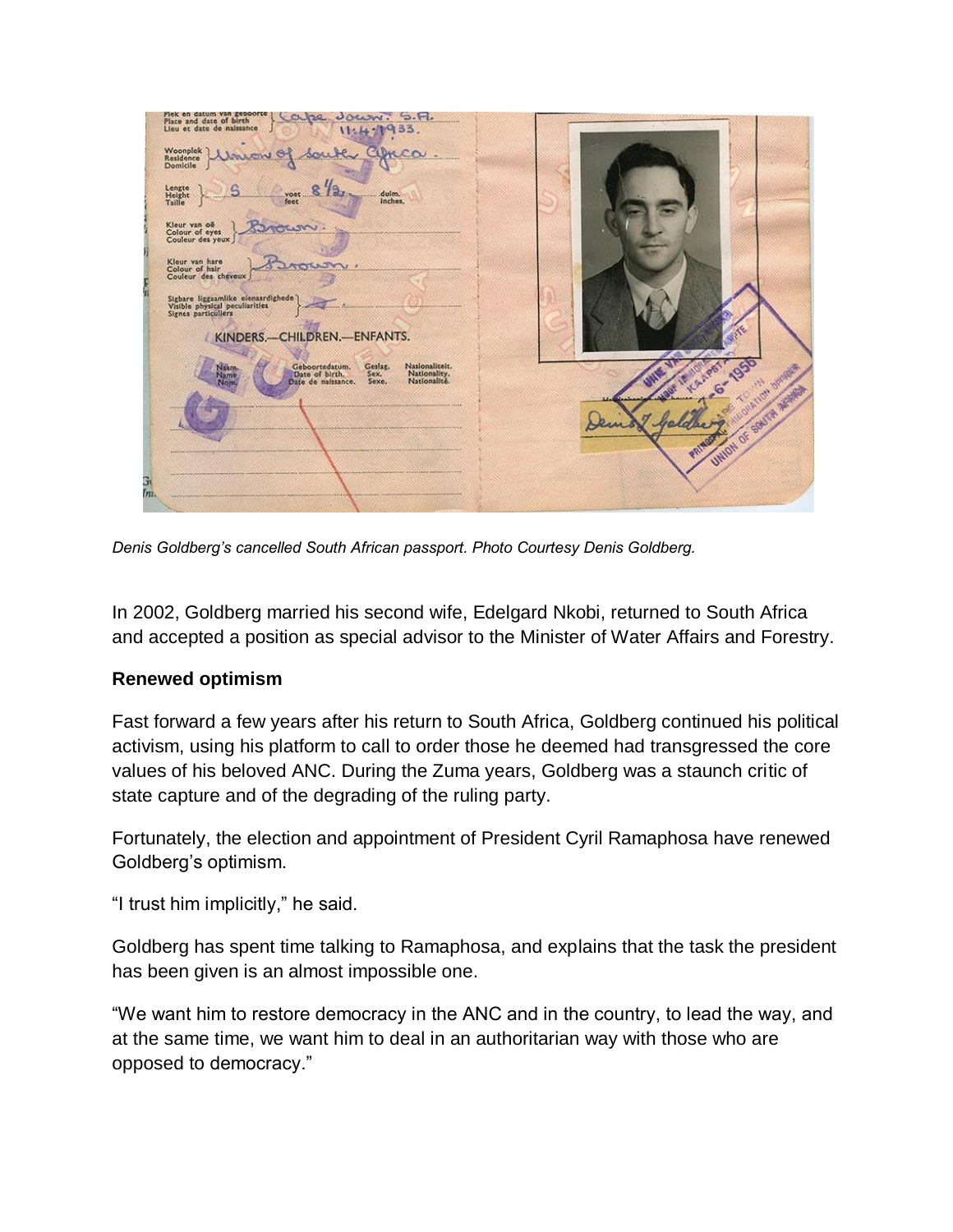KINDERS.-CHILDREN.-ENFANTS.

*Denis Goldberg's cancelled South African passport. Photo Courtesy Denis Goldberg.*

In 2002, Goldberg married his second wife, Edelgard Nkobi, returned to South Africa and accepted a position as special advisor to the Minister of Water Affairs and Forestry.

#### **Renewed optimism**

Fast forward a few years after his return to South Africa, Goldberg continued his political activism, using his platform to call to order those he deemed had transgressed the core values of his beloved ANC. During the Zuma years, Goldberg was a staunch critic of state capture and of the degrading of the ruling party.

Fortunately, the election and appointment of President Cyril Ramaphosa have renewed Goldberg's optimism.

"I trust him implicitly," he said.

Goldberg has spent time talking to Ramaphosa, and explains that the task the president has been given is an almost impossible one.

"We want him to restore democracy in the ANC and in the country, to lead the way, and at the same time, we want him to deal in an authoritarian way with those who are opposed to democracy."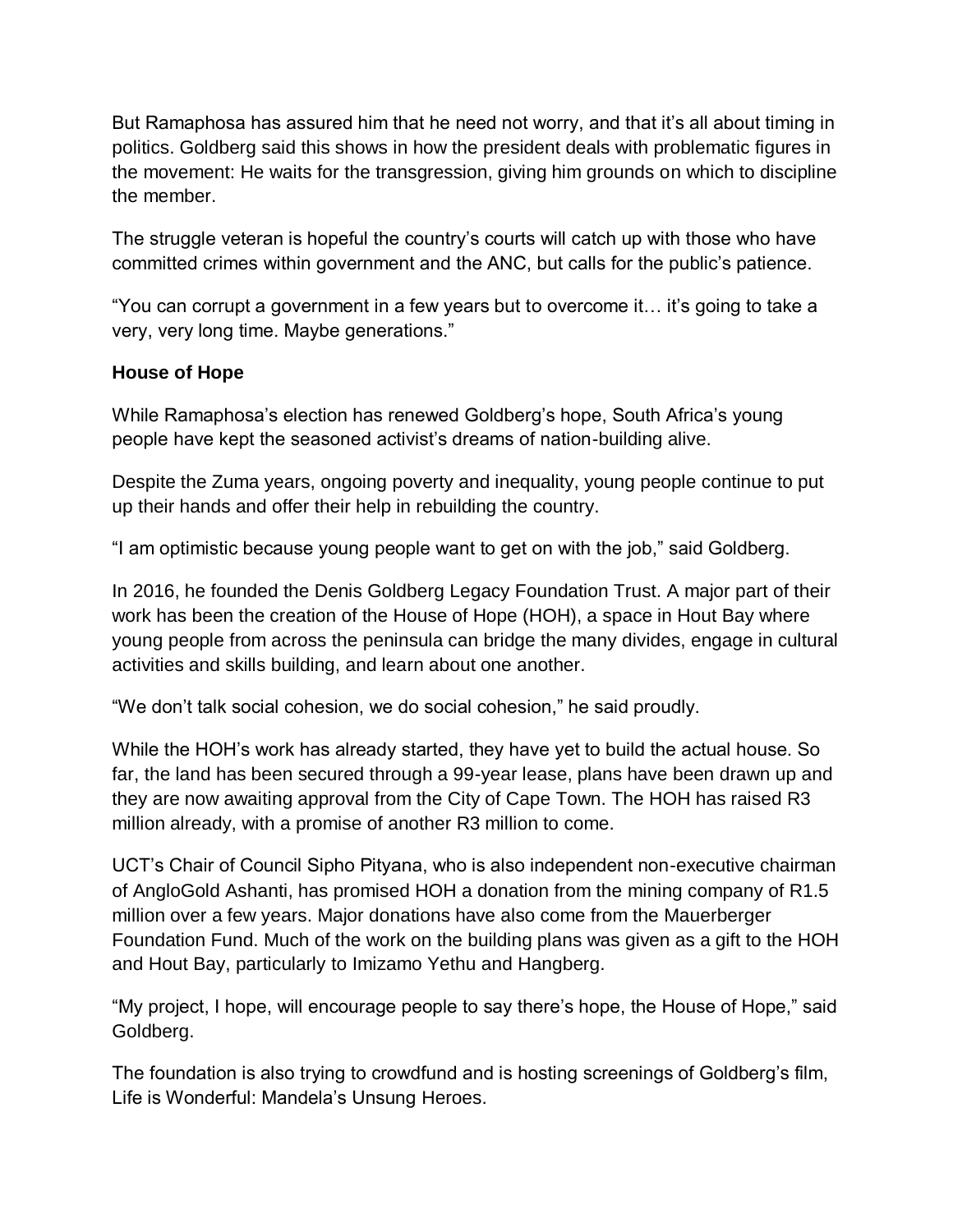But Ramaphosa has assured him that he need not worry, and that it's all about timing in politics. Goldberg said this shows in how the president deals with problematic figures in the movement: He waits for the transgression, giving him grounds on which to discipline the member.

The struggle veteran is hopeful the country's courts will catch up with those who have committed crimes within government and the ANC, but calls for the public's patience.

"You can corrupt a government in a few years but to overcome it… it's going to take a very, very long time. Maybe generations."

### **House of Hope**

While Ramaphosa's election has renewed Goldberg's hope, South Africa's young people have kept the seasoned activist's dreams of nation-building alive.

Despite the Zuma years, ongoing poverty and inequality, young people continue to put up their hands and offer their help in rebuilding the country.

"I am optimistic because young people want to get on with the job," said Goldberg.

In 2016, he founded the Denis Goldberg Legacy Foundation Trust. A major part of their work has been the creation of the House of Hope (HOH), a space in Hout Bay where young people from across the peninsula can bridge the many divides, engage in cultural activities and skills building, and learn about one another.

"We don't talk social cohesion, we do social cohesion," he said proudly.

While the HOH's work has already started, they have yet to build the actual house. So far, the land has been secured through a 99-year lease, plans have been drawn up and they are now awaiting approval from the City of Cape Town. The HOH has raised R3 million already, with a promise of another R3 million to come.

UCT's Chair of Council Sipho Pityana, who is also independent non-executive chairman of AngloGold Ashanti, has promised HOH a donation from the mining company of R1.5 million over a few years. Major donations have also come from the Mauerberger Foundation Fund. Much of the work on the building plans was given as a gift to the HOH and Hout Bay, particularly to Imizamo Yethu and Hangberg.

"My project, I hope, will encourage people to say there's hope, the House of Hope," said Goldberg.

The foundation is also trying to crowdfund and is hosting screenings of Goldberg's film, Life is Wonderful: Mandela's Unsung Heroes.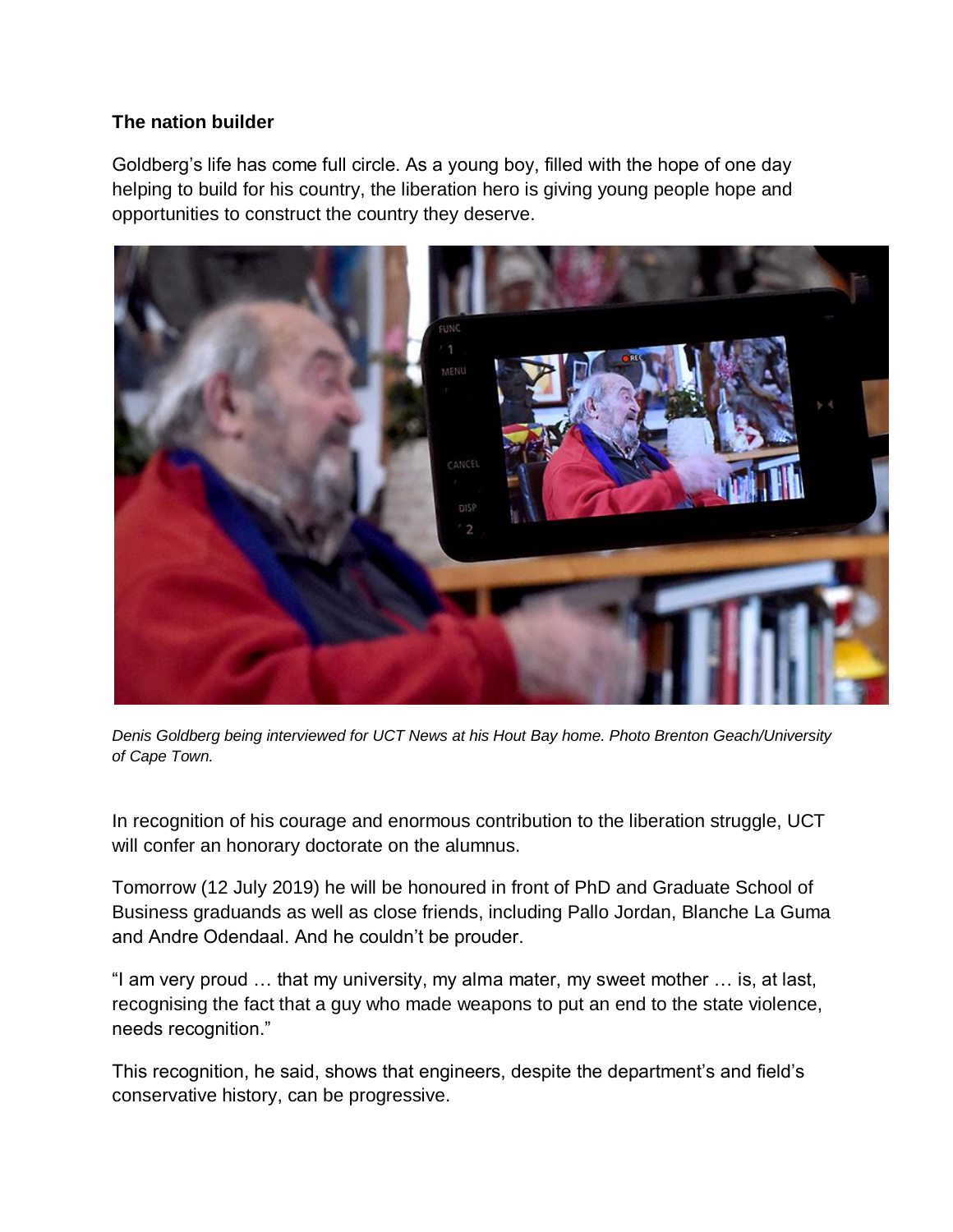## **The nation builder**

Goldberg's life has come full circle. As a young boy, filled with the hope of one day helping to build for his country, the liberation hero is giving young people hope and opportunities to construct the country they deserve.



*Denis Goldberg being interviewed for UCT News at his Hout Bay home. Photo Brenton Geach/University of Cape Town.*

In recognition of his courage and enormous contribution to the liberation struggle, UCT will confer an honorary doctorate on the alumnus.

Tomorrow (12 July 2019) he will be honoured in front of PhD and Graduate School of Business graduands as well as close friends, including Pallo Jordan, Blanche La Guma and Andre Odendaal. And he couldn't be prouder.

"I am very proud … that my university, my alma mater, my sweet mother … is, at last, recognising the fact that a guy who made weapons to put an end to the state violence, needs recognition."

This recognition, he said, shows that engineers, despite the department's and field's conservative history, can be progressive.